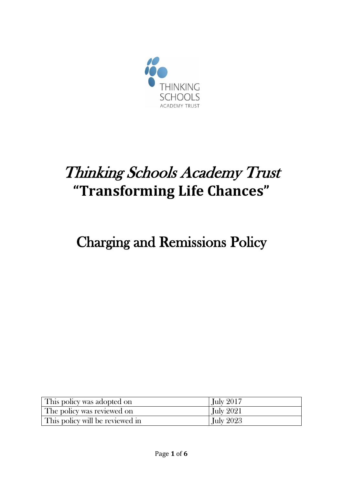

# Thinking Schools Academy Trust **"Transforming Life Chances"**

# Charging and Remissions Policy

| This policy was adopted on      | <b>July 2017</b> |
|---------------------------------|------------------|
| The policy was reviewed on      | <b>July 2021</b> |
| This policy will be reviewed in | <b>July 2023</b> |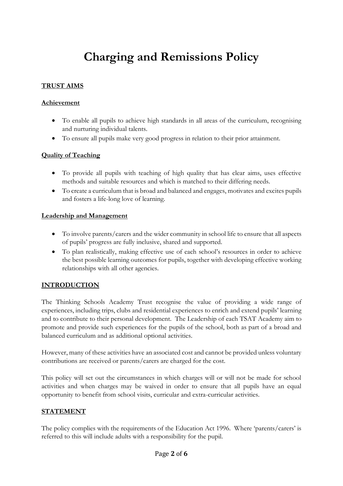# **Charging and Remissions Policy**

#### **TRUST AIMS**

#### **Achievement**

- To enable all pupils to achieve high standards in all areas of the curriculum, recognising and nurturing individual talents.
- To ensure all pupils make very good progress in relation to their prior attainment.

#### **Quality of Teaching**

- To provide all pupils with teaching of high quality that has clear aims, uses effective methods and suitable resources and which is matched to their differing needs.
- To create a curriculum that is broad and balanced and engages, motivates and excites pupils and fosters a life-long love of learning.

#### **Leadership and Management**

- To involve parents/carers and the wider community in school life to ensure that all aspects of pupils' progress are fully inclusive, shared and supported.
- To plan realistically, making effective use of each school's resources in order to achieve the best possible learning outcomes for pupils, together with developing effective working relationships with all other agencies.

#### **INTRODUCTION**

The Thinking Schools Academy Trust recognise the value of providing a wide range of experiences, including trips, clubs and residential experiences to enrich and extend pupils' learning and to contribute to their personal development. The Leadership of each TSAT Academy aim to promote and provide such experiences for the pupils of the school, both as part of a broad and balanced curriculum and as additional optional activities.

However, many of these activities have an associated cost and cannot be provided unless voluntary contributions are received or parents/carers are charged for the cost.

This policy will set out the circumstances in which charges will or will not be made for school activities and when charges may be waived in order to ensure that all pupils have an equal opportunity to benefit from school visits, curricular and extra-curricular activities.

#### **STATEMENT**

The policy complies with the requirements of the Education Act 1996. Where 'parents/carers' is referred to this will include adults with a responsibility for the pupil.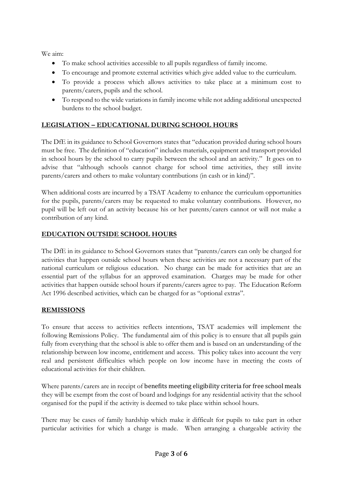We aim:

- To make school activities accessible to all pupils regardless of family income.
- To encourage and promote external activities which give added value to the curriculum.
- To provide a process which allows activities to take place at a minimum cost to parents/carers, pupils and the school.
- To respond to the wide variations in family income while not adding additional unexpected burdens to the school budget.

# **LEGISLATION – EDUCATIONAL DURING SCHOOL HOURS**

The DfE in its guidance to School Governors states that "education provided during school hours must be free. The definition of "education" includes materials, equipment and transport provided in school hours by the school to carry pupils between the school and an activity." It goes on to advise that "although schools cannot charge for school time activities, they still invite parents/carers and others to make voluntary contributions (in cash or in kind)".

When additional costs are incurred by a TSAT Academy to enhance the curriculum opportunities for the pupils, parents/carers may be requested to make voluntary contributions. However, no pupil will be left out of an activity because his or her parents/carers cannot or will not make a contribution of any kind.

# **EDUCATION OUTSIDE SCHOOL HOURS**

The DfE in its guidance to School Governors states that "parents/carers can only be charged for activities that happen outside school hours when these activities are not a necessary part of the national curriculum or religious education. No charge can be made for activities that are an essential part of the syllabus for an approved examination. Charges may be made for other activities that happen outside school hours if parents/carers agree to pay. The Education Reform Act 1996 described activities, which can be charged for as "optional extras".

# **REMISSIONS**

To ensure that access to activities reflects intentions, TSAT academies will implement the following Remissions Policy. The fundamental aim of this policy is to ensure that all pupils gain fully from everything that the school is able to offer them and is based on an understanding of the relationship between low income, entitlement and access. This policy takes into account the very real and persistent difficulties which people on low income have in meeting the costs of educational activities for their children.

Where parents/carers are in receipt of benefits meeting eligibility criteria for free school meals they will be exempt from the cost of board and lodgings for any residential activity that the school organised for the pupil if the activity is deemed to take place within school hours.

There may be cases of family hardship which make it difficult for pupils to take part in other particular activities for which a charge is made. When arranging a chargeable activity the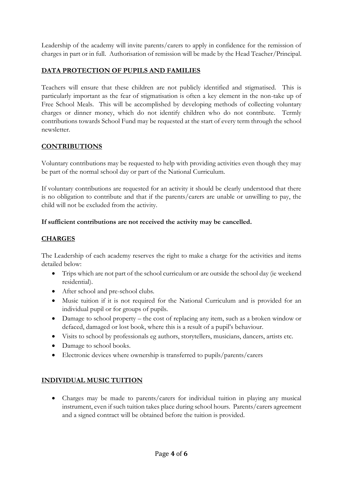Leadership of the academy will invite parents/carers to apply in confidence for the remission of charges in part or in full. Authorisation of remission will be made by the Head Teacher/Principal.

### **DATA PROTECTION OF PUPILS AND FAMILIES**

Teachers will ensure that these children are not publicly identified and stigmatised. This is particularly important as the fear of stigmatisation is often a key element in the non-take up of Free School Meals. This will be accomplished by developing methods of collecting voluntary charges or dinner money, which do not identify children who do not contribute. Termly contributions towards School Fund may be requested at the start of every term through the school newsletter.

#### **CONTRIBUTIONS**

Voluntary contributions may be requested to help with providing activities even though they may be part of the normal school day or part of the National Curriculum.

If voluntary contributions are requested for an activity it should be clearly understood that there is no obligation to contribute and that if the parents/carers are unable or unwilling to pay, the child will not be excluded from the activity.

#### **If sufficient contributions are not received the activity may be cancelled.**

#### **CHARGES**

The Leadership of each academy reserves the right to make a charge for the activities and items detailed below:

- Trips which are not part of the school curriculum or are outside the school day (ie weekend residential).
- After school and pre-school clubs.
- Music tuition if it is not required for the National Curriculum and is provided for an individual pupil or for groups of pupils.
- Damage to school property the cost of replacing any item, such as a broken window or defaced, damaged or lost book, where this is a result of a pupil's behaviour.
- Visits to school by professionals eg authors, storytellers, musicians, dancers, artists etc.
- Damage to school books.
- Electronic devices where ownership is transferred to pupils/parents/carers

#### **INDIVIDUAL MUSIC TUITION**

 Charges may be made to parents/carers for individual tuition in playing any musical instrument, even if such tuition takes place during school hours. Parents/carers agreement and a signed contract will be obtained before the tuition is provided.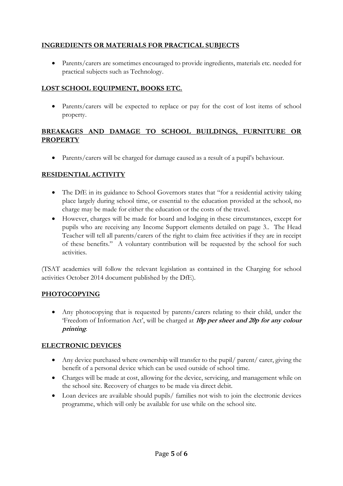# **INGREDIENTS OR MATERIALS FOR PRACTICAL SUBJECTS**

 Parents/carers are sometimes encouraged to provide ingredients, materials etc. needed for practical subjects such as Technology.

# **LOST SCHOOL EQUIPMENT, BOOKS ETC.**

• Parents/carers will be expected to replace or pay for the cost of lost items of school property.

#### **BREAKAGES AND DAMAGE TO SCHOOL BUILDINGS, FURNITURE OR PROPERTY**

Parents/carers will be charged for damage caused as a result of a pupil's behaviour.

# **RESIDENTIAL ACTIVITY**

- The DfE in its guidance to School Governors states that "for a residential activity taking place largely during school time, or essential to the education provided at the school, no charge may be made for either the education or the costs of the travel.
- However, charges will be made for board and lodging in these circumstances, except for pupils who are receiving any Income Support elements detailed on page 3.. The Head Teacher will tell all parents/carers of the right to claim free activities if they are in receipt of these benefits." A voluntary contribution will be requested by the school for such activities.

(TSAT academies will follow the relevant legislation as contained in the Charging for school activities October 2014 document published by the DfE).

#### **PHOTOCOPYING**

 Any photocopying that is requested by parents/carers relating to their child, under the 'Freedom of Information Act', will be charged at **10p per sheet and 20p for any colour printing**.

# **ELECTRONIC DEVICES**

- Any device purchased where ownership will transfer to the pupil/ parent/ carer, giving the benefit of a personal device which can be used outside of school time.
- Charges will be made at cost, allowing for the device, servicing, and management while on the school site. Recovery of charges to be made via direct debit.
- Loan devices are available should pupils/ families not wish to join the electronic devices programme, which will only be available for use while on the school site.